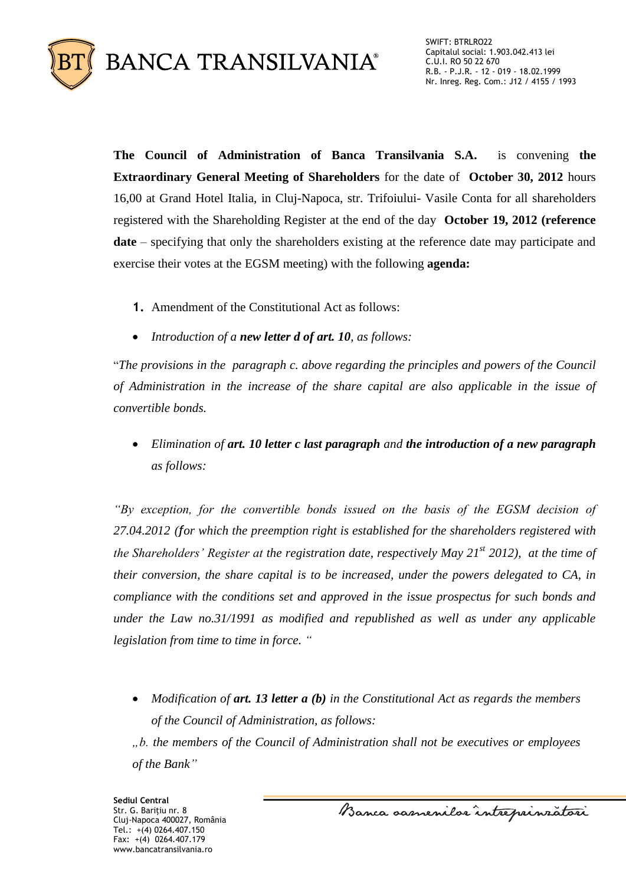

**The Council of Administration of Banca Transilvania S.A.** is convening **the Extraordinary General Meeting of Shareholders** for the date of **October 30, 2012** hours 16,00 at Grand Hotel Italia, in Cluj-Napoca, str. Trifoiului- Vasile Conta for all shareholders registered with the Shareholding Register at the end of the day **October 19, 2012 (reference date** – specifying that only the shareholders existing at the reference date may participate and exercise their votes at the EGSM meeting) with the following **agenda:**

- **1.** Amendment of the Constitutional Act as follows:
- *Introduction of a new letter d of art. 10, as follows:*

"*The provisions in the paragraph c. above regarding the principles and powers of the Council of Administration in the increase of the share capital are also applicable in the issue of convertible bonds.* 

 *Elimination of art. 10 letter c last paragraph and the introduction of a new paragraph as follows:*

*"By exception, for the convertible bonds issued on the basis of the EGSM decision of 27.04.2012 (for which the preemption right is established for the shareholders registered with the Shareholders' Register at the registration date, respectively May 21st 2012), at the time of their conversion, the share capital is to be increased, under the powers delegated to CA, in compliance with the conditions set and approved in the issue prospectus for such bonds and under the Law no.31/1991 as modified and republished as well as under any applicable legislation from time to time in force. "*

 *Modification of art. 13 letter a (b) in the Constitutional Act as regards the members of the Council of Administration, as follows:*

*"b. the members of the Council of Administration shall not be executives or employees of the Bank"*

Banca samenilar intreprinratori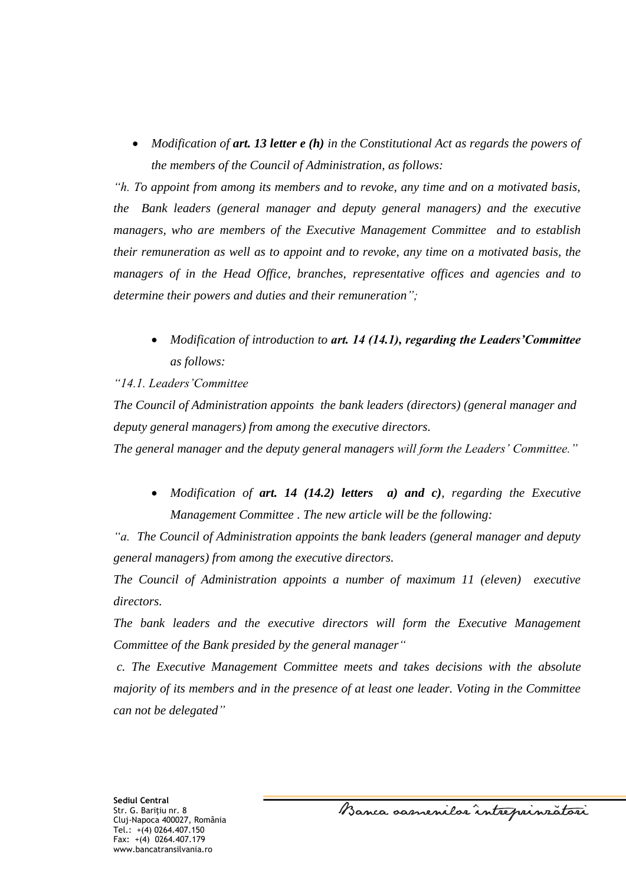*Modification of art. 13 letter e (h) in the Constitutional Act as regards the powers of the members of the Council of Administration, as follows:*

*"h. To appoint from among its members and to revoke, any time and on a motivated basis, the Bank leaders (general manager and deputy general managers) and the executive managers, who are members of the Executive Management Committee and to establish their remuneration as well as to appoint and to revoke, any time on a motivated basis, the managers of in the Head Office, branches, representative offices and agencies and to determine their powers and duties and their remuneration";*

 *Modification of introduction to art. 14 (14.1), regarding the Leaders'Committee as follows:*

### *"14.1. Leaders'Committee*

*The Council of Administration appoints the bank leaders (directors) (general manager and deputy general managers) from among the executive directors.* 

*The general manager and the deputy general managers will form the Leaders' Committee."*

 *Modification of art. 14 (14.2) letters a) and c), regarding the Executive Management Committee . The new article will be the following:*

*"a. The Council of Administration appoints the bank leaders (general manager and deputy general managers) from among the executive directors.* 

*The Council of Administration appoints a number of maximum 11 (eleven) executive directors.*

*The bank leaders and the executive directors will form the Executive Management Committee of the Bank presided by the general manager"*

*c. The Executive Management Committee meets and takes decisions with the absolute majority of its members and in the presence of at least one leader. Voting in the Committee can not be delegated"*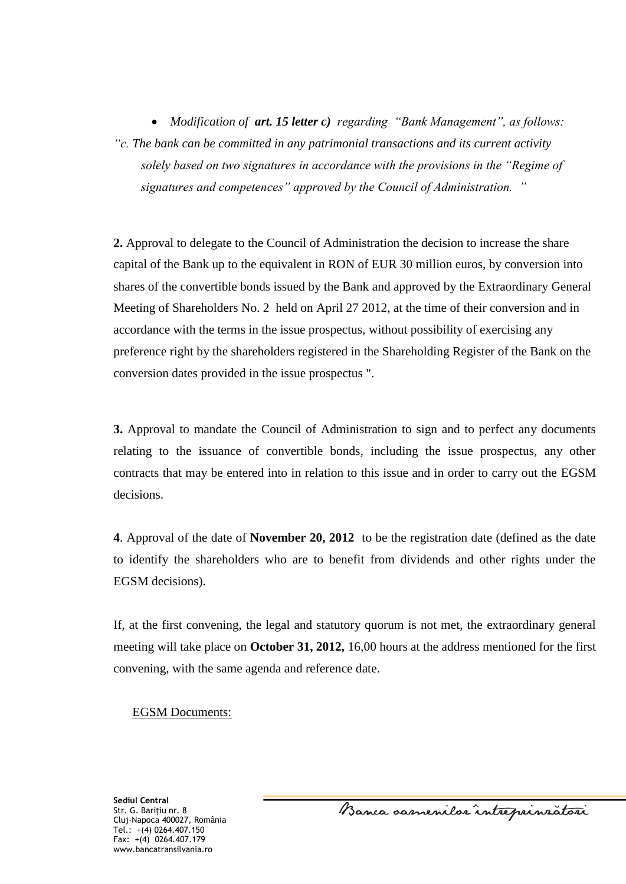*Modification of art. 15 letter c) regarding "Bank Management", as follows: "c. The bank can be committed in any patrimonial transactions and its current activity solely based on two signatures in accordance with the provisions in the "Regime of signatures and competences" approved by the Council of Administration. "*

**2.** Approval to delegate to the Council of Administration the decision to increase the share capital of the Bank up to the equivalent in RON of EUR 30 million euros, by conversion into shares of the convertible bonds issued by the Bank and approved by the Extraordinary General Meeting of Shareholders No. 2 held on April 27 2012, at the time of their conversion and in accordance with the terms in the issue prospectus, without possibility of exercising any preference right by the shareholders registered in the Shareholding Register of the Bank on the conversion dates provided in the issue prospectus ".

**3.** Approval to mandate the Council of Administration to sign and to perfect any documents relating to the issuance of convertible bonds, including the issue prospectus, any other contracts that may be entered into in relation to this issue and in order to carry out the EGSM decisions.

**4**. Approval of the date of **November 20, 2012** to be the registration date (defined as the date to identify the shareholders who are to benefit from dividends and other rights under the EGSM decisions)*.*

If, at the first convening, the legal and statutory quorum is not met, the extraordinary general meeting will take place on **October 31, 2012,** 16,00 hours at the address mentioned for the first convening, with the same agenda and reference date.

### EGSM Documents:

**Sediul Central** Str. G. Bariţiu nr. 8 Cluj-Napoca 400027, România Tel.: +(4) 0264.407.150 Fax: +(4) 0264.407.179 www.bancatransilvania.ro

Banca samenilar intreprinratori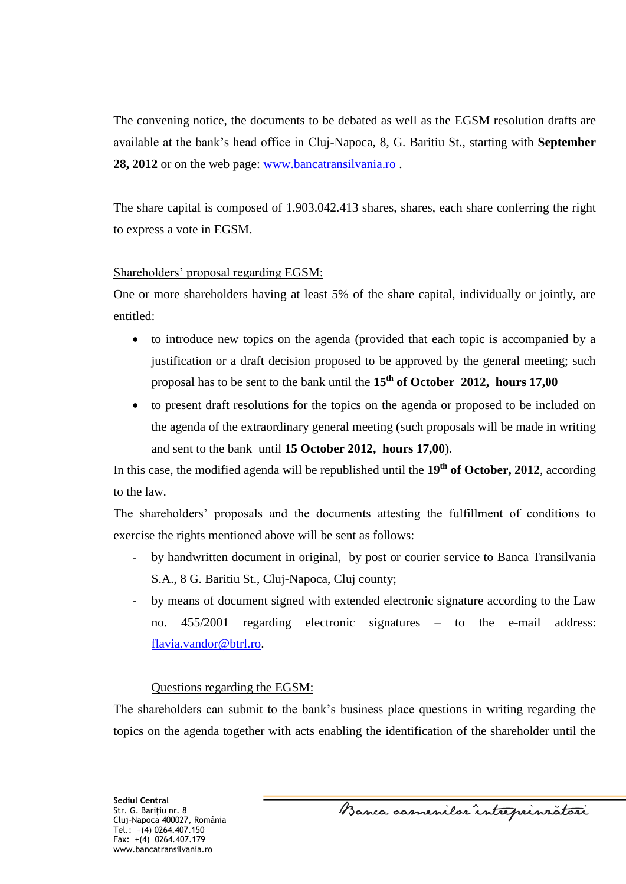The convening notice, the documents to be debated as well as the EGSM resolution drafts are available at the bank's head office in Cluj-Napoca, 8, G. Baritiu St., starting with **September 28, 2012** or on the web page: [www.bancatransilvania.ro](http://www.bancatransilvania.ro/) .

The share capital is composed of 1.903.042.413 shares, shares, each share conferring the right to express a vote in EGSM.

## Shareholders' proposal regarding EGSM:

One or more shareholders having at least 5% of the share capital, individually or jointly, are entitled:

- to introduce new topics on the agenda (provided that each topic is accompanied by a justification or a draft decision proposed to be approved by the general meeting; such proposal has to be sent to the bank until the **15th of October 2012, hours 17,00**
- to present draft resolutions for the topics on the agenda or proposed to be included on the agenda of the extraordinary general meeting (such proposals will be made in writing and sent to the bank until **15 October 2012, hours 17,00**).

In this case, the modified agenda will be republished until the **19th of October, 2012**, according to the law.

The shareholders' proposals and the documents attesting the fulfillment of conditions to exercise the rights mentioned above will be sent as follows:

- by handwritten document in original, by post or courier service to Banca Transilvania S.A., 8 G. Baritiu St., Cluj-Napoca, Cluj county;
- by means of document signed with extended electronic signature according to the Law no. 455/2001 regarding electronic signatures – to the e-mail address: [flavia.vandor@btrl.ro.](mailto:flavia.vandor@btrl.ro)

## Questions regarding the EGSM:

The shareholders can submit to the bank's business place questions in writing regarding the topics on the agenda together with acts enabling the identification of the shareholder until the

Banca samenilor intreprinzatori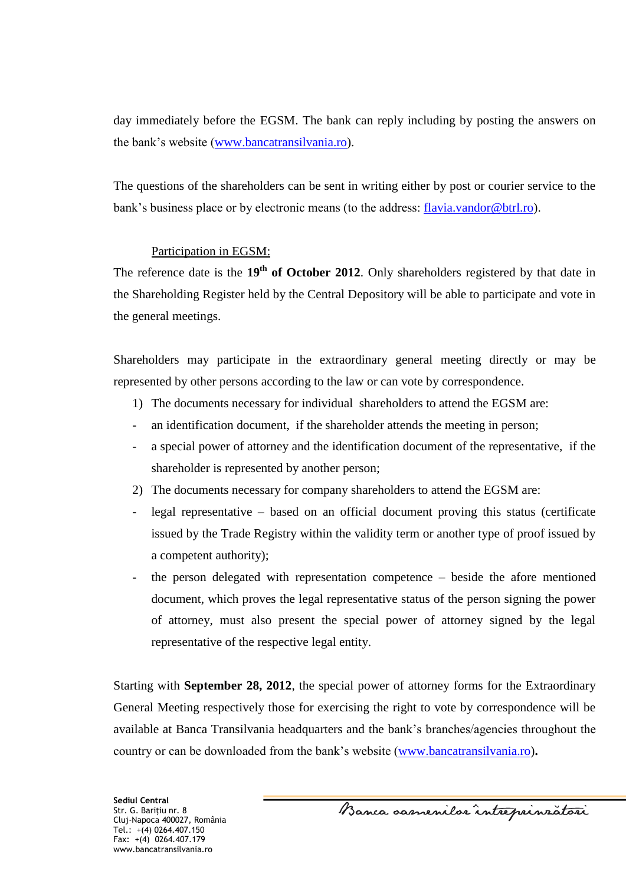day immediately before the EGSM. The bank can reply including by posting the answers on the bank's website [\(www.bancatransilvania.ro\)](http://www.bancatransilvania.ro/).

The questions of the shareholders can be sent in writing either by post or courier service to the bank's business place or by electronic means (to the address: [flavia.vandor@btrl.ro\)](mailto:flavia.vandor@btrl.ro).

# Participation in EGSM:

The reference date is the **19th of October 2012**. Only shareholders registered by that date in the Shareholding Register held by the Central Depository will be able to participate and vote in the general meetings.

Shareholders may participate in the extraordinary general meeting directly or may be represented by other persons according to the law or can vote by correspondence.

- 1) The documents necessary for individual shareholders to attend the EGSM are:
- an identification document, if the shareholder attends the meeting in person;
- a special power of attorney and the identification document of the representative, if the shareholder is represented by another person;
- 2) The documents necessary for company shareholders to attend the EGSM are:
- legal representative based on an official document proving this status (certificate issued by the Trade Registry within the validity term or another type of proof issued by a competent authority);
- the person delegated with representation competence  $-$  beside the afore mentioned document, which proves the legal representative status of the person signing the power of attorney, must also present the special power of attorney signed by the legal representative of the respective legal entity.

Starting with **September 28, 2012**, the special power of attorney forms for the Extraordinary General Meeting respectively those for exercising the right to vote by correspondence will be available at Banca Transilvania headquarters and the bank's branches/agencies throughout the country or can be downloaded from the bank's website [\(www.bancatransilvania.ro\)](http://www.bancatransilvania.ro/)**.** 

Banca samenilor intreprinzatori